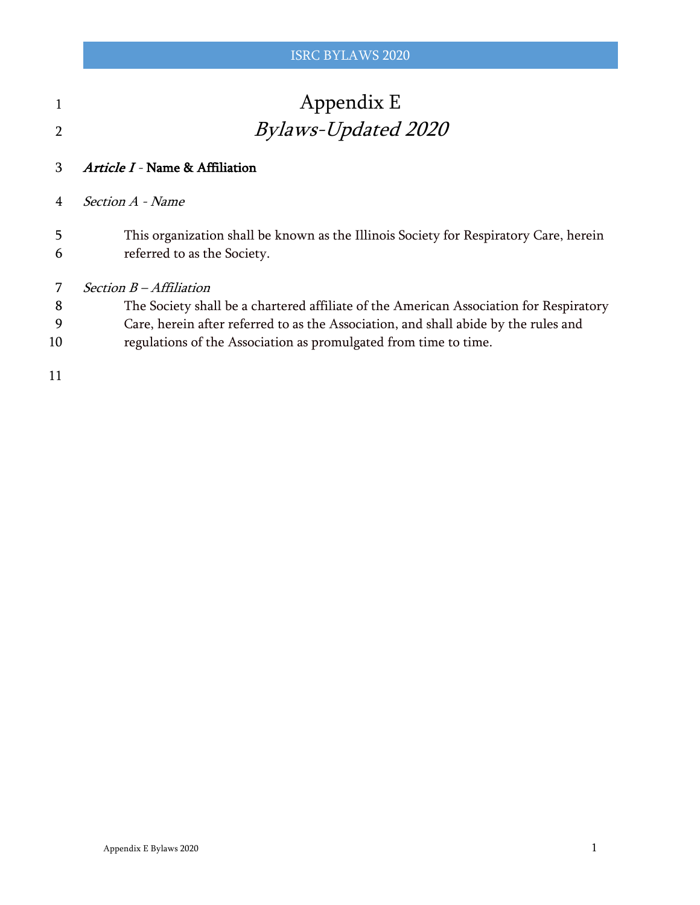| $\mathbf{1}$   | Appendix E                                                                                                           |
|----------------|----------------------------------------------------------------------------------------------------------------------|
| $\overline{2}$ | <i>Bylaws-Updated 2020</i>                                                                                           |
| $\mathcal{B}$  | Article I - Name & Affiliation                                                                                       |
| $\overline{4}$ | <i>Section A - Name</i>                                                                                              |
| 5<br>6         | This organization shall be known as the Illinois Society for Respiratory Care, herein<br>referred to as the Society. |

- Section B Affiliation
- The Society shall be a chartered affiliate of the American Association for Respiratory
- Care, herein after referred to as the Association, and shall abide by the rules and
- regulations of the Association as promulgated from time to time.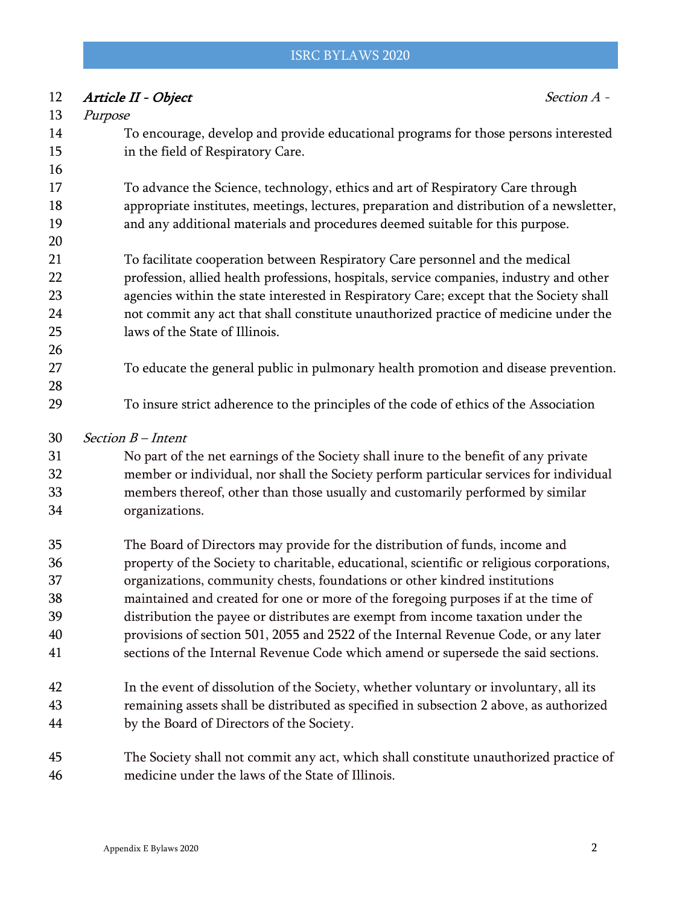# 12 Article II - Object Section A - Purpose To encourage, develop and provide educational programs for those persons interested in the field of Respiratory Care. To advance the Science, technology, ethics and art of Respiratory Care through appropriate institutes, meetings, lectures, preparation and distribution of a newsletter, and any additional materials and procedures deemed suitable for this purpose. To facilitate cooperation between Respiratory Care personnel and the medical profession, allied health professions, hospitals, service companies, industry and other agencies within the state interested in Respiratory Care; except that the Society shall not commit any act that shall constitute unauthorized practice of medicine under the laws of the State of Illinois. To educate the general public in pulmonary health promotion and disease prevention. To insure strict adherence to the principles of the code of ethics of the Association Section B – Intent No part of the net earnings of the Society shall inure to the benefit of any private member or individual, nor shall the Society perform particular services for individual members thereof, other than those usually and customarily performed by similar organizations. The Board of Directors may provide for the distribution of funds, income and property of the Society to charitable, educational, scientific or religious corporations, organizations, community chests, foundations or other kindred institutions maintained and created for one or more of the foregoing purposes if at the time of distribution the payee or distributes are exempt from income taxation under the provisions of section 501, 2055 and 2522 of the Internal Revenue Code, or any later sections of the Internal Revenue Code which amend or supersede the said sections. In the event of dissolution of the Society, whether voluntary or involuntary, all its remaining assets shall be distributed as specified in subsection 2 above, as authorized by the Board of Directors of the Society. The Society shall not commit any act, which shall constitute unauthorized practice of medicine under the laws of the State of Illinois.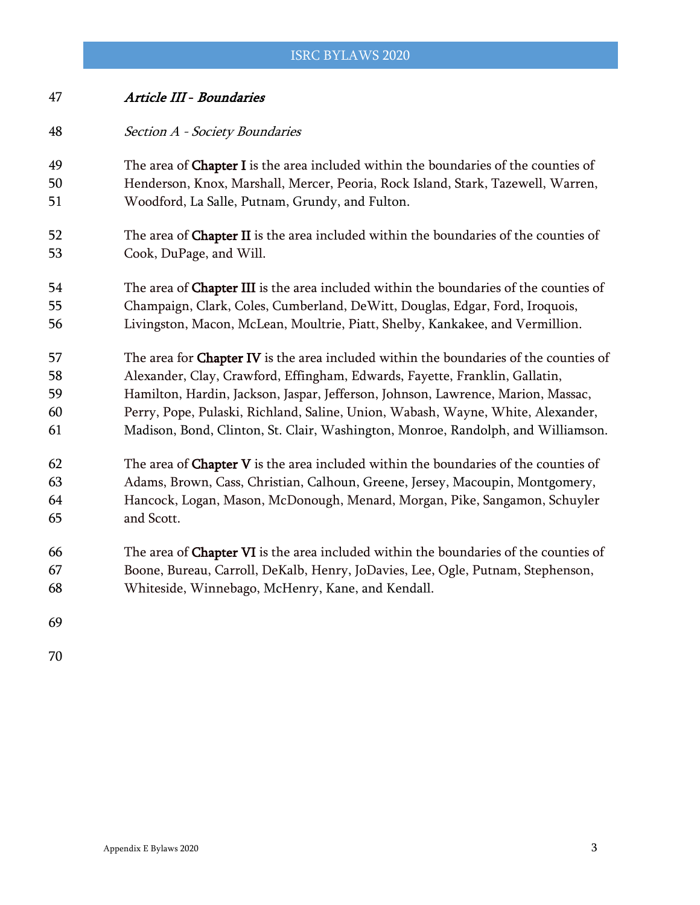| 47                   | Article III - Boundaries                                                                                                                                                                                                     |
|----------------------|------------------------------------------------------------------------------------------------------------------------------------------------------------------------------------------------------------------------------|
| 48                   | Section A - Society Boundaries                                                                                                                                                                                               |
| 49                   | The area of <b>Chapter I</b> is the area included within the boundaries of the counties of                                                                                                                                   |
| 50                   | Henderson, Knox, Marshall, Mercer, Peoria, Rock Island, Stark, Tazewell, Warren,                                                                                                                                             |
| 51                   | Woodford, La Salle, Putnam, Grundy, and Fulton.                                                                                                                                                                              |
| 52                   | The area of Chapter II is the area included within the boundaries of the counties of                                                                                                                                         |
| 53                   | Cook, DuPage, and Will.                                                                                                                                                                                                      |
| 54                   | The area of Chapter III is the area included within the boundaries of the counties of                                                                                                                                        |
| 55                   | Champaign, Clark, Coles, Cumberland, DeWitt, Douglas, Edgar, Ford, Iroquois,                                                                                                                                                 |
| 56                   | Livingston, Macon, McLean, Moultrie, Piatt, Shelby, Kankakee, and Vermillion.                                                                                                                                                |
| 57                   | The area for Chapter IV is the area included within the boundaries of the counties of                                                                                                                                        |
| 58                   | Alexander, Clay, Crawford, Effingham, Edwards, Fayette, Franklin, Gallatin,                                                                                                                                                  |
| 59                   | Hamilton, Hardin, Jackson, Jaspar, Jefferson, Johnson, Lawrence, Marion, Massac,                                                                                                                                             |
| 60                   | Perry, Pope, Pulaski, Richland, Saline, Union, Wabash, Wayne, White, Alexander,                                                                                                                                              |
| 61                   | Madison, Bond, Clinton, St. Clair, Washington, Monroe, Randolph, and Williamson.                                                                                                                                             |
| 62                   | The area of <b>Chapter V</b> is the area included within the boundaries of the counties of                                                                                                                                   |
| 63                   | Adams, Brown, Cass, Christian, Calhoun, Greene, Jersey, Macoupin, Montgomery,                                                                                                                                                |
| 64                   | Hancock, Logan, Mason, McDonough, Menard, Morgan, Pike, Sangamon, Schuyler                                                                                                                                                   |
| 65                   | and Scott.                                                                                                                                                                                                                   |
| 66<br>67<br>68<br>69 | The area of Chapter VI is the area included within the boundaries of the counties of<br>Boone, Bureau, Carroll, DeKalb, Henry, JoDavies, Lee, Ogle, Putnam, Stephenson,<br>Whiteside, Winnebago, McHenry, Kane, and Kendall. |
|                      |                                                                                                                                                                                                                              |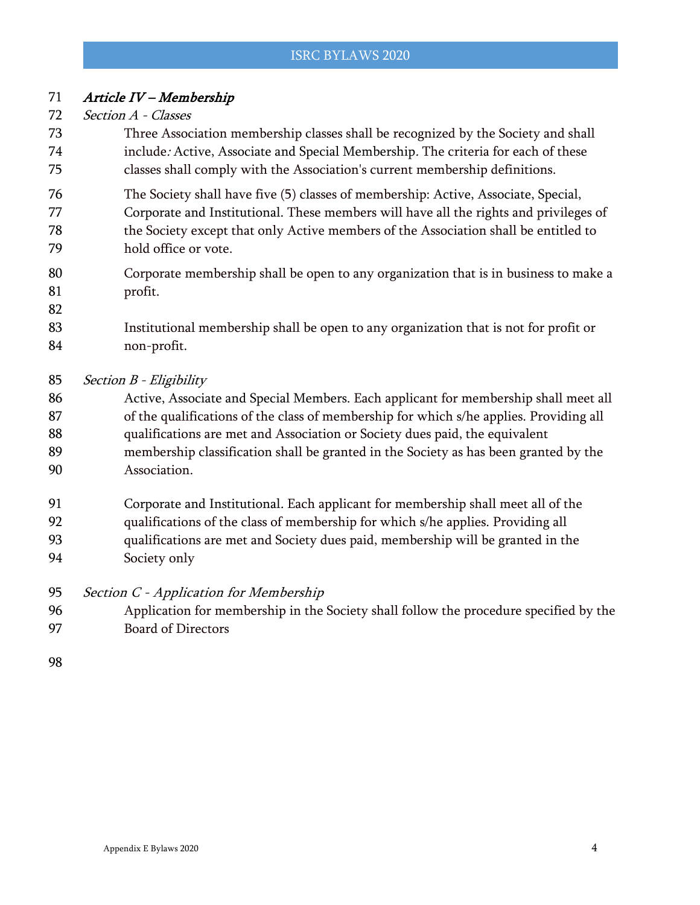# Article IV – Membership

- Section A Classes
- Three Association membership classes shall be recognized by the Society and shall include: Active, Associate and Special Membership. The criteria for each of these classes shall comply with the Association's current membership definitions.
- The Society shall have five (5) classes of membership: Active, Associate, Special, Corporate and Institutional. These members will have all the rights and privileges of the Society except that only Active members of the Association shall be entitled to hold office or vote.
- Corporate membership shall be open to any organization that is in business to make a profit.
- Institutional membership shall be open to any organization that is not for profit or non-profit.
- Section B Eligibility
- 86 Active, Associate and Special Members. Each applicant for membership shall meet all 87 of the qualifications of the class of membership for which s/he applies. Providing all qualifications are met and Association or Society dues paid, the equivalent membership classification shall be granted in the Society as has been granted by the Association.
- Corporate and Institutional. Each applicant for membership shall meet all of the
- qualifications of the class of membership for which s/he applies. Providing all
- qualifications are met and Society dues paid, membership will be granted in the
- Society only
- 95 Section C Application for Membership
- Application for membership in the Society shall follow the procedure specified by the Board of Directors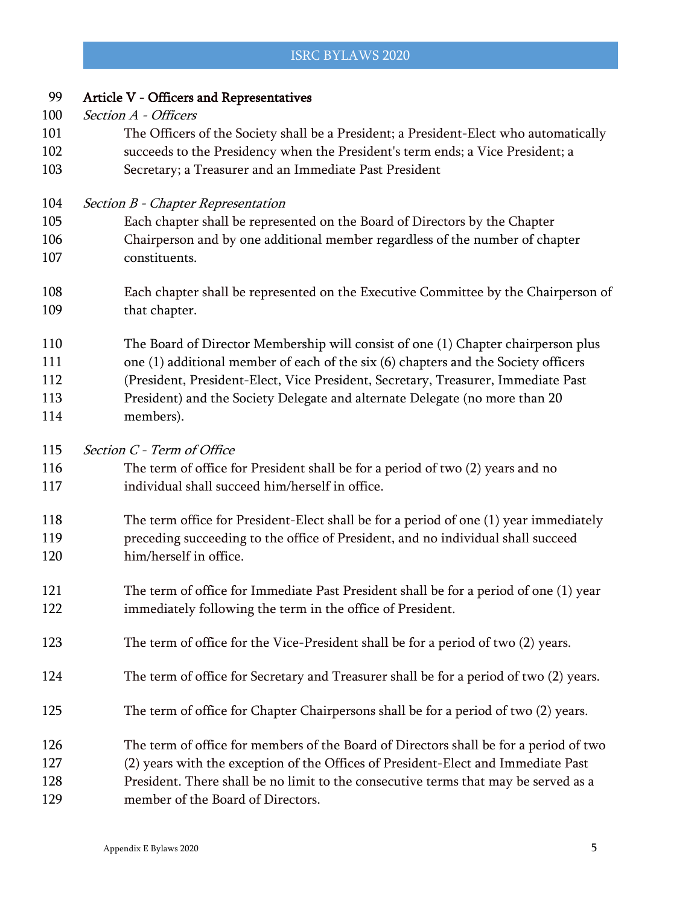| 99  | Article V - Officers and Representatives                                               |
|-----|----------------------------------------------------------------------------------------|
| 100 | Section A - Officers                                                                   |
| 101 | The Officers of the Society shall be a President; a President-Elect who automatically  |
| 102 | succeeds to the Presidency when the President's term ends; a Vice President; a         |
| 103 | Secretary; a Treasurer and an Immediate Past President                                 |
| 104 | Section B - Chapter Representation                                                     |
| 105 | Each chapter shall be represented on the Board of Directors by the Chapter             |
| 106 | Chairperson and by one additional member regardless of the number of chapter           |
| 107 | constituents.                                                                          |
| 108 | Each chapter shall be represented on the Executive Committee by the Chairperson of     |
| 109 | that chapter.                                                                          |
| 110 | The Board of Director Membership will consist of one (1) Chapter chairperson plus      |
| 111 | one (1) additional member of each of the six (6) chapters and the Society officers     |
| 112 | (President, President-Elect, Vice President, Secretary, Treasurer, Immediate Past      |
| 113 | President) and the Society Delegate and alternate Delegate (no more than 20            |
| 114 | members).                                                                              |
| 115 | Section C - Term of Office                                                             |
| 116 | The term of office for President shall be for a period of two (2) years and no         |
| 117 | individual shall succeed him/herself in office.                                        |
| 118 | The term office for President-Elect shall be for a period of one (1) year immediately  |
| 119 | preceding succeeding to the office of President, and no individual shall succeed       |
| 120 | him/herself in office.                                                                 |
| 121 | The term of office for Immediate Past President shall be for a period of one (1) year  |
| 122 | immediately following the term in the office of President.                             |
| 123 | The term of office for the Vice-President shall be for a period of two (2) years.      |
| 124 | The term of office for Secretary and Treasurer shall be for a period of two (2) years. |
| 125 | The term of office for Chapter Chairpersons shall be for a period of two (2) years.    |
| 126 | The term of office for members of the Board of Directors shall be for a period of two  |
| 127 | (2) years with the exception of the Offices of President-Elect and Immediate Past      |
| 128 | President. There shall be no limit to the consecutive terms that may be served as a    |
| 129 | member of the Board of Directors.                                                      |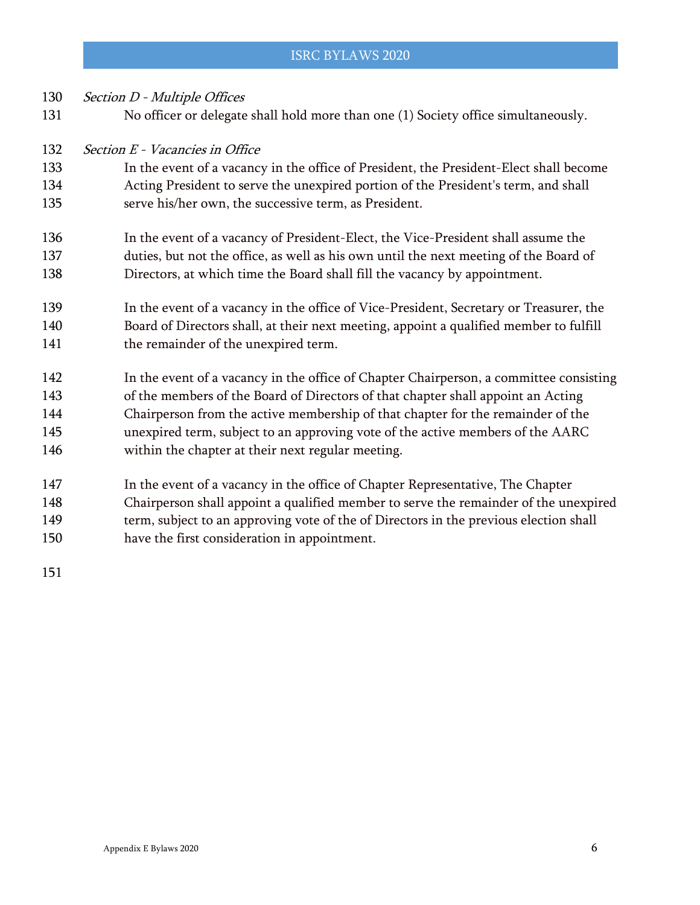- 130 Section D Multiple Offices No officer or delegate shall hold more than one (1) Society office simultaneously. 132 Section E - Vacancies in Office In the event of a vacancy in the office of President, the President-Elect shall become Acting President to serve the unexpired portion of the President's term, and shall serve his/her own, the successive term, as President. In the event of a vacancy of President-Elect, the Vice-President shall assume the duties, but not the office, as well as his own until the next meeting of the Board of Directors, at which time the Board shall fill the vacancy by appointment. In the event of a vacancy in the office of Vice-President, Secretary or Treasurer, the 141 the remainder of the unexpired term.
- Board of Directors shall, at their next meeting, appoint a qualified member to fulfill
- In the event of a vacancy in the office of Chapter Chairperson, a committee consisting of the members of the Board of Directors of that chapter shall appoint an Acting Chairperson from the active membership of that chapter for the remainder of the unexpired term, subject to an approving vote of the active members of the AARC within the chapter at their next regular meeting.
- In the event of a vacancy in the office of Chapter Representative, The Chapter Chairperson shall appoint a qualified member to serve the remainder of the unexpired 149 term, subject to an approving vote of the of Directors in the previous election shall
- have the first consideration in appointment.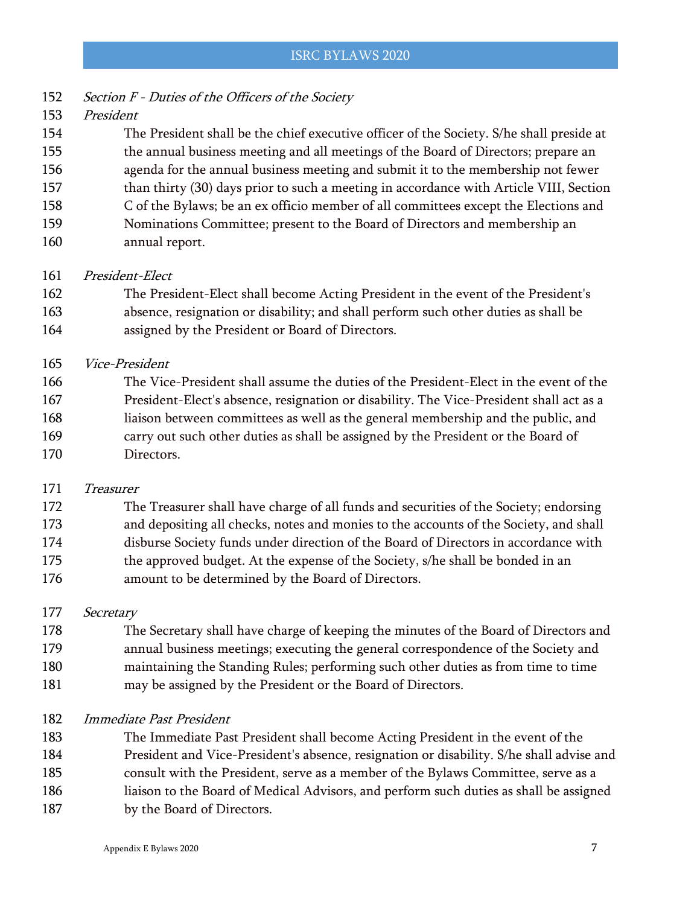- 152 Section F Duties of the Officers of the Society
- President

 The President shall be the chief executive officer of the Society. S/he shall preside at the annual business meeting and all meetings of the Board of Directors; prepare an agenda for the annual business meeting and submit it to the membership not fewer 157 than thirty (30) days prior to such a meeting in accordance with Article VIII, Section C of the Bylaws; be an ex officio member of all committees except the Elections and

- Nominations Committee; present to the Board of Directors and membership an
- annual report.
- President-Elect
- The President-Elect shall become Acting President in the event of the President's absence, resignation or disability; and shall perform such other duties as shall be
- assigned by the President or Board of Directors.
- Vice-President

 The Vice-President shall assume the duties of the President-Elect in the event of the President-Elect's absence, resignation or disability. The Vice-President shall act as a liaison between committees as well as the general membership and the public, and carry out such other duties as shall be assigned by the President or the Board of Directors.

Treasurer

 The Treasurer shall have charge of all funds and securities of the Society; endorsing and depositing all checks, notes and monies to the accounts of the Society, and shall disburse Society funds under direction of the Board of Directors in accordance with the approved budget. At the expense of the Society, s/he shall be bonded in an amount to be determined by the Board of Directors.

177 Secretary

 The Secretary shall have charge of keeping the minutes of the Board of Directors and annual business meetings; executing the general correspondence of the Society and maintaining the Standing Rules; performing such other duties as from time to time may be assigned by the President or the Board of Directors.

- Immediate Past President
- The Immediate Past President shall become Acting President in the event of the President and Vice-President's absence, resignation or disability. S/he shall advise and consult with the President, serve as a member of the Bylaws Committee, serve as a
- liaison to the Board of Medical Advisors, and perform such duties as shall be assigned
- 187 by the Board of Directors.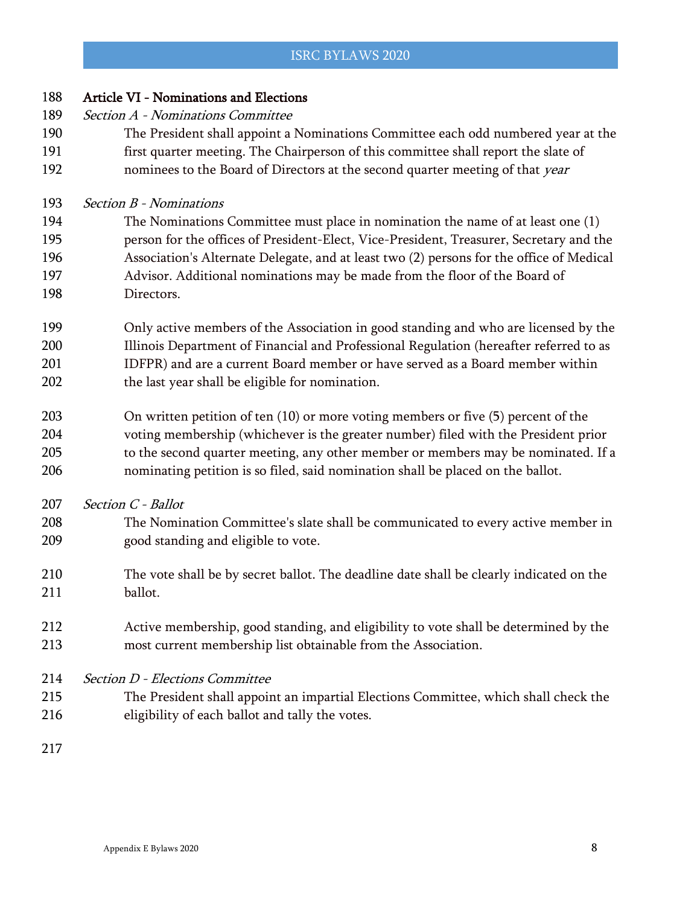| 188 | <b>Article VI - Nominations and Elections</b>                                            |
|-----|------------------------------------------------------------------------------------------|
| 189 | Section A - Nominations Committee                                                        |
| 190 | The President shall appoint a Nominations Committee each odd numbered year at the        |
| 191 | first quarter meeting. The Chairperson of this committee shall report the slate of       |
| 192 | nominees to the Board of Directors at the second quarter meeting of that year            |
| 193 | Section B - Nominations                                                                  |
| 194 | The Nominations Committee must place in nomination the name of at least one (1)          |
| 195 | person for the offices of President-Elect, Vice-President, Treasurer, Secretary and the  |
| 196 | Association's Alternate Delegate, and at least two (2) persons for the office of Medical |
| 197 | Advisor. Additional nominations may be made from the floor of the Board of               |
| 198 | Directors.                                                                               |
| 199 | Only active members of the Association in good standing and who are licensed by the      |
| 200 | Illinois Department of Financial and Professional Regulation (hereafter referred to as   |
| 201 | IDFPR) and are a current Board member or have served as a Board member within            |
| 202 | the last year shall be eligible for nomination.                                          |
| 203 | On written petition of ten $(10)$ or more voting members or five $(5)$ percent of the    |
| 204 | voting membership (whichever is the greater number) filed with the President prior       |
| 205 | to the second quarter meeting, any other member or members may be nominated. If a        |
| 206 | nominating petition is so filed, said nomination shall be placed on the ballot.          |
| 207 | Section C - Ballot                                                                       |
| 208 | The Nomination Committee's slate shall be communicated to every active member in         |
| 209 | good standing and eligible to vote.                                                      |
| 210 | The vote shall be by secret ballot. The deadline date shall be clearly indicated on the  |
| 211 | ballot.                                                                                  |
| 212 | Active membership, good standing, and eligibility to vote shall be determined by the     |
| 213 | most current membership list obtainable from the Association.                            |
| 214 | <b>Section D - Elections Committee</b>                                                   |
| 215 | The President shall appoint an impartial Elections Committee, which shall check the      |
| 216 | eligibility of each ballot and tally the votes.                                          |
| 217 |                                                                                          |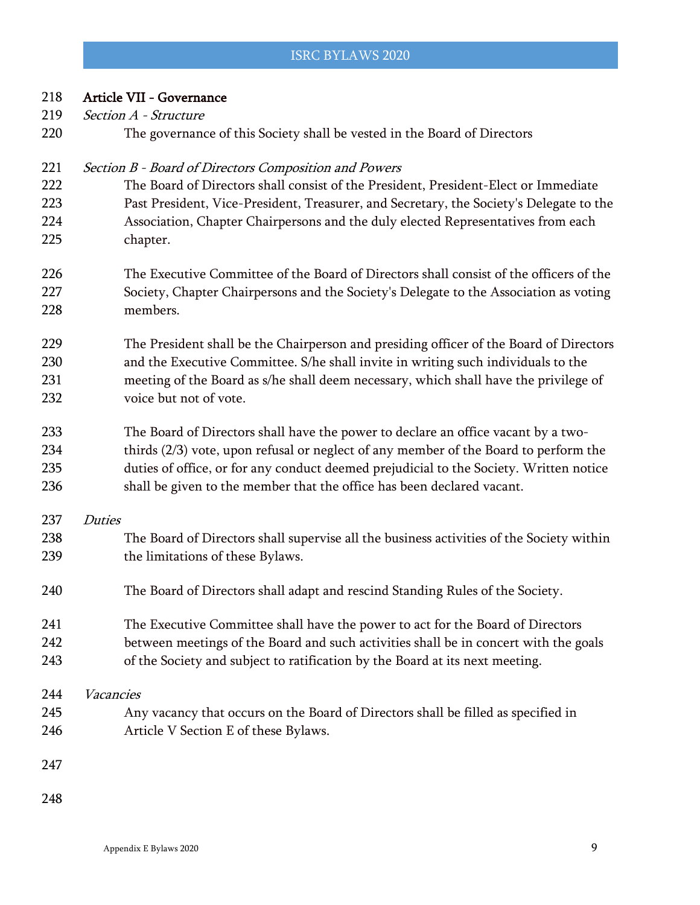| 218 | Article VII - Governance                                                                 |
|-----|------------------------------------------------------------------------------------------|
| 219 | Section A - Structure                                                                    |
| 220 | The governance of this Society shall be vested in the Board of Directors                 |
| 221 | Section B - Board of Directors Composition and Powers                                    |
| 222 | The Board of Directors shall consist of the President, President-Elect or Immediate      |
| 223 | Past President, Vice-President, Treasurer, and Secretary, the Society's Delegate to the  |
| 224 | Association, Chapter Chairpersons and the duly elected Representatives from each         |
| 225 | chapter.                                                                                 |
| 226 | The Executive Committee of the Board of Directors shall consist of the officers of the   |
| 227 | Society, Chapter Chairpersons and the Society's Delegate to the Association as voting    |
| 228 | members.                                                                                 |
| 229 | The President shall be the Chairperson and presiding officer of the Board of Directors   |
| 230 | and the Executive Committee. S/he shall invite in writing such individuals to the        |
| 231 | meeting of the Board as s/he shall deem necessary, which shall have the privilege of     |
| 232 | voice but not of vote.                                                                   |
| 233 | The Board of Directors shall have the power to declare an office vacant by a two-        |
| 234 | thirds (2/3) vote, upon refusal or neglect of any member of the Board to perform the     |
| 235 | duties of office, or for any conduct deemed prejudicial to the Society. Written notice   |
| 236 | shall be given to the member that the office has been declared vacant.                   |
| 237 | <b>Duties</b>                                                                            |
| 238 | The Board of Directors shall supervise all the business activities of the Society within |
| 239 | the limitations of these Bylaws.                                                         |
| 240 | The Board of Directors shall adapt and rescind Standing Rules of the Society.            |
| 241 | The Executive Committee shall have the power to act for the Board of Directors           |
| 242 | between meetings of the Board and such activities shall be in concert with the goals     |
| 243 | of the Society and subject to ratification by the Board at its next meeting.             |
| 244 | Vacancies                                                                                |
| 245 | Any vacancy that occurs on the Board of Directors shall be filled as specified in        |
| 246 | Article V Section E of these Bylaws.                                                     |
| 247 |                                                                                          |
| 248 |                                                                                          |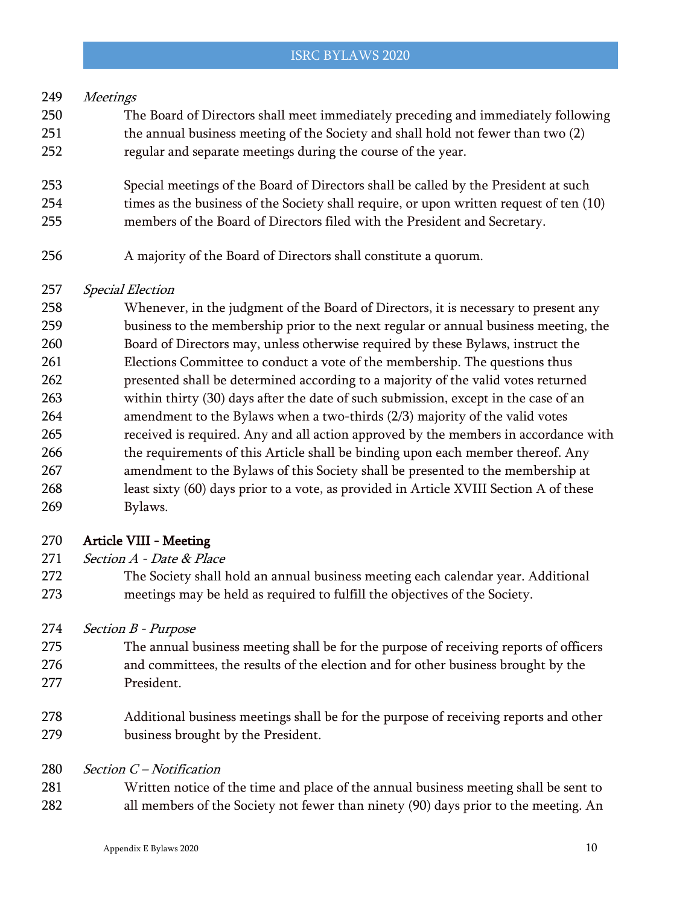# Meetings

- The Board of Directors shall meet immediately preceding and immediately following the annual business meeting of the Society and shall hold not fewer than two (2) regular and separate meetings during the course of the year.
- Special meetings of the Board of Directors shall be called by the President at such 254 times as the business of the Society shall require, or upon written request of ten (10)
- members of the Board of Directors filed with the President and Secretary.
- A majority of the Board of Directors shall constitute a quorum.

# Special Election

 Whenever, in the judgment of the Board of Directors, it is necessary to present any business to the membership prior to the next regular or annual business meeting, the Board of Directors may, unless otherwise required by these Bylaws, instruct the Elections Committee to conduct a vote of the membership. The questions thus presented shall be determined according to a majority of the valid votes returned within thirty (30) days after the date of such submission, except in the case of an amendment to the Bylaws when a two-thirds (2/3) majority of the valid votes received is required. Any and all action approved by the members in accordance with 266 the requirements of this Article shall be binding upon each member thereof. Any amendment to the Bylaws of this Society shall be presented to the membership at least sixty (60) days prior to a vote, as provided in Article XVIII Section A of these Bylaws.

# Article VIII - Meeting

- 271 Section A Date & Place
- The Society shall hold an annual business meeting each calendar year. Additional meetings may be held as required to fulfill the objectives of the Society.
- 274 Section B Purpose
- The annual business meeting shall be for the purpose of receiving reports of officers and committees, the results of the election and for other business brought by the President.
- Additional business meetings shall be for the purpose of receiving reports and other business brought by the President.
- Section C Notification
- Written notice of the time and place of the annual business meeting shall be sent to all members of the Society not fewer than ninety (90) days prior to the meeting. An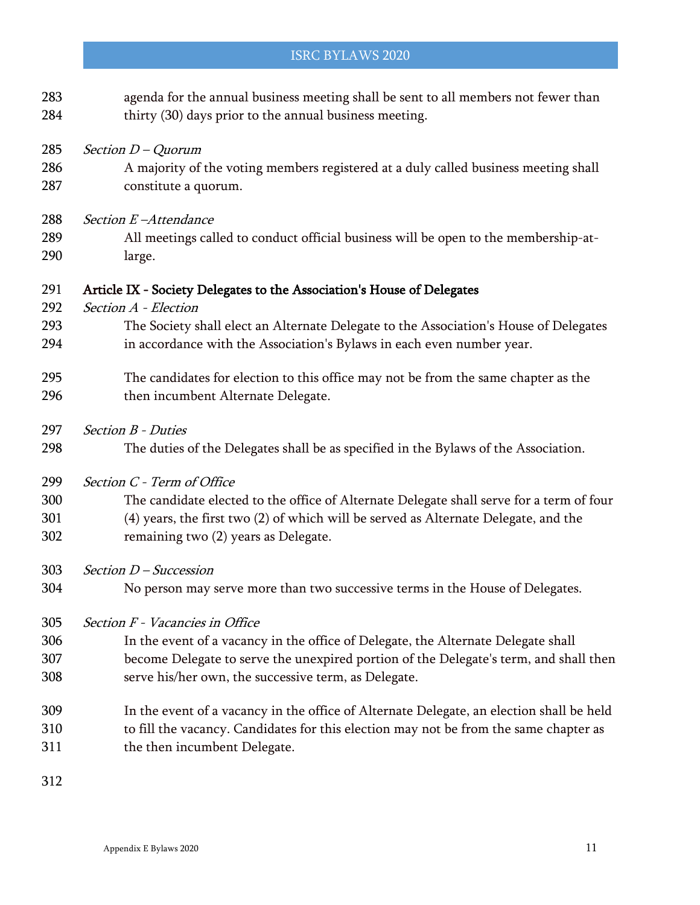# agenda for the annual business meeting shall be sent to all members not fewer than 284 thirty (30) days prior to the annual business meeting. 285 Section  $D - Quorum$  A majority of the voting members registered at a duly called business meeting shall constitute a quorum. 288 Section E-Attendance All meetings called to conduct official business will be open to the membership-at- large. Article IX - Society Delegates to the Association's House of Delegates 292 Section A - Election The Society shall elect an Alternate Delegate to the Association's House of Delegates in accordance with the Association's Bylaws in each even number year. The candidates for election to this office may not be from the same chapter as the 296 then incumbent Alternate Delegate. 297 Section B - Duties The duties of the Delegates shall be as specified in the Bylaws of the Association. 299 Section C - Term of Office The candidate elected to the office of Alternate Delegate shall serve for a term of four (4) years, the first two (2) of which will be served as Alternate Delegate, and the remaining two (2) years as Delegate. Section D – Succession No person may serve more than two successive terms in the House of Delegates. Section F - Vacancies in Office In the event of a vacancy in the office of Delegate, the Alternate Delegate shall become Delegate to serve the unexpired portion of the Delegate's term, and shall then serve his/her own, the successive term, as Delegate. In the event of a vacancy in the office of Alternate Delegate, an election shall be held to fill the vacancy. Candidates for this election may not be from the same chapter as the then incumbent Delegate.

ISRC BYLAWS 2020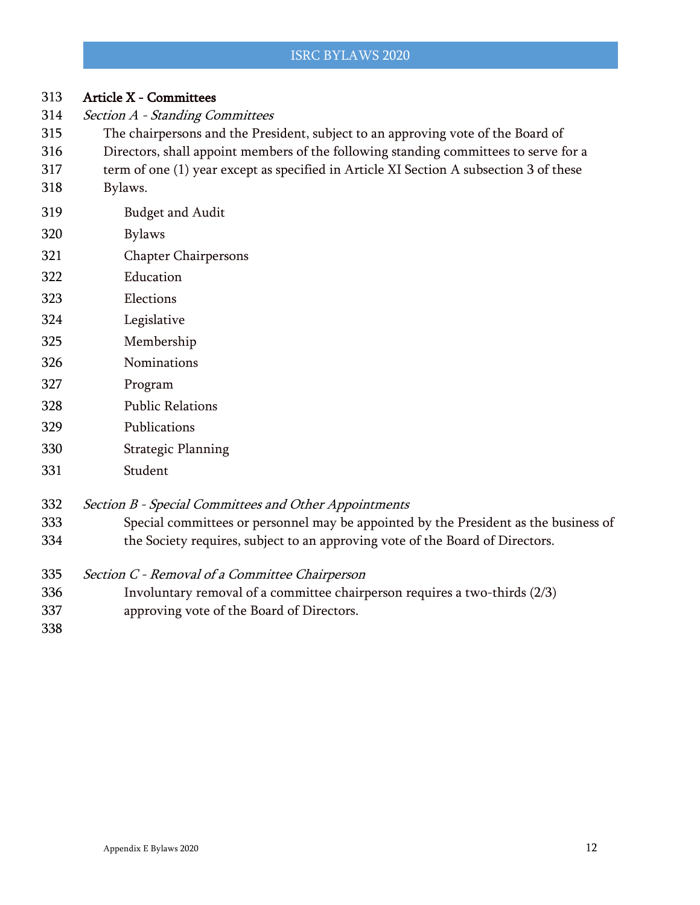| 313 | <b>Article X - Committees</b>                                                          |
|-----|----------------------------------------------------------------------------------------|
| 314 | Section A - Standing Committees                                                        |
| 315 | The chairpersons and the President, subject to an approving vote of the Board of       |
| 316 | Directors, shall appoint members of the following standing committees to serve for a   |
| 317 | term of one (1) year except as specified in Article XI Section A subsection 3 of these |
| 318 | Bylaws.                                                                                |
| 319 | <b>Budget and Audit</b>                                                                |
| 320 | <b>Bylaws</b>                                                                          |
| 321 | <b>Chapter Chairpersons</b>                                                            |
| 322 | Education                                                                              |
| 323 | Elections                                                                              |
| 324 | Legislative                                                                            |
| 325 | Membership                                                                             |
| 326 | Nominations                                                                            |
| 327 | Program                                                                                |
| 328 | <b>Public Relations</b>                                                                |
| 329 | Publications                                                                           |
| 330 | <b>Strategic Planning</b>                                                              |
| 331 | Student                                                                                |
| 332 | Section B - Special Committees and Other Appointments                                  |
| 333 | Special committees or personnel may be appointed by the President as the business of   |
| 334 | the Society requires, subject to an approving vote of the Board of Directors.          |
| 335 | Section C - Removal of a Committee Chairperson                                         |

- Involuntary removal of a committee chairperson requires a two-thirds (2/3)
- approving vote of the Board of Directors.
-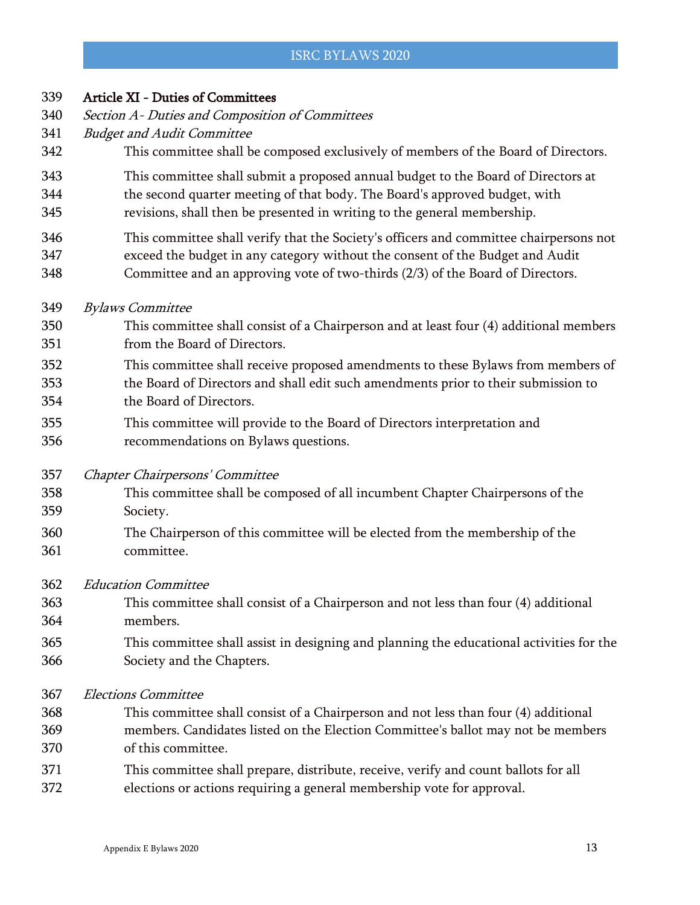| 339 | <b>Article XI - Duties of Committees</b>                                                 |
|-----|------------------------------------------------------------------------------------------|
| 340 | Section A- Duties and Composition of Committees                                          |
| 341 | <b>Budget and Audit Committee</b>                                                        |
| 342 | This committee shall be composed exclusively of members of the Board of Directors.       |
| 343 | This committee shall submit a proposed annual budget to the Board of Directors at        |
| 344 | the second quarter meeting of that body. The Board's approved budget, with               |
| 345 | revisions, shall then be presented in writing to the general membership.                 |
| 346 | This committee shall verify that the Society's officers and committee chairpersons not   |
| 347 | exceed the budget in any category without the consent of the Budget and Audit            |
| 348 | Committee and an approving vote of two-thirds (2/3) of the Board of Directors.           |
| 349 | <b>Bylaws Committee</b>                                                                  |
| 350 | This committee shall consist of a Chairperson and at least four (4) additional members   |
| 351 | from the Board of Directors.                                                             |
| 352 | This committee shall receive proposed amendments to these Bylaws from members of         |
| 353 | the Board of Directors and shall edit such amendments prior to their submission to       |
| 354 | the Board of Directors.                                                                  |
| 355 | This committee will provide to the Board of Directors interpretation and                 |
| 356 | recommendations on Bylaws questions.                                                     |
| 357 | Chapter Chairpersons' Committee                                                          |
| 358 | This committee shall be composed of all incumbent Chapter Chairpersons of the            |
| 359 | Society.                                                                                 |
| 360 | The Chairperson of this committee will be elected from the membership of the             |
| 361 | committee.                                                                               |
| 362 | <b>Education Committee</b>                                                               |
| 363 | This committee shall consist of a Chairperson and not less than four (4) additional      |
| 364 | members.                                                                                 |
| 365 | This committee shall assist in designing and planning the educational activities for the |
| 366 | Society and the Chapters.                                                                |
| 367 | <b>Elections Committee</b>                                                               |
| 368 | This committee shall consist of a Chairperson and not less than four (4) additional      |
| 369 | members. Candidates listed on the Election Committee's ballot may not be members         |
| 370 | of this committee.                                                                       |
| 371 | This committee shall prepare, distribute, receive, verify and count ballots for all      |
| 372 | elections or actions requiring a general membership vote for approval.                   |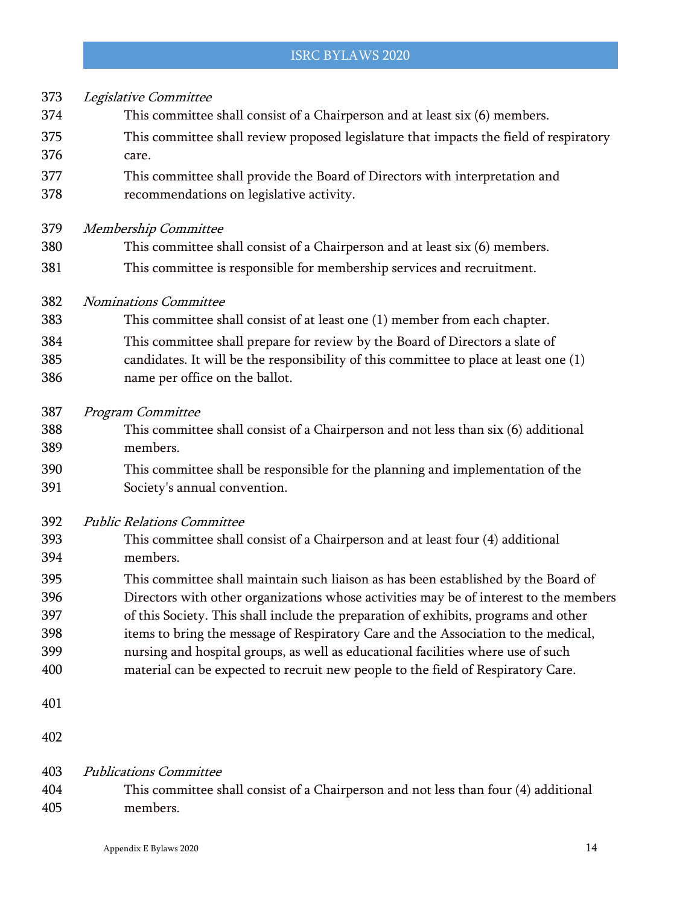| 373<br>374<br>375 | Legislative Committee<br>This committee shall consist of a Chairperson and at least six (6) members.<br>This committee shall review proposed legislature that impacts the field of respiratory |
|-------------------|------------------------------------------------------------------------------------------------------------------------------------------------------------------------------------------------|
| 376               | care.                                                                                                                                                                                          |
| 377<br>378        | This committee shall provide the Board of Directors with interpretation and<br>recommendations on legislative activity.                                                                        |
| 379               | Membership Committee                                                                                                                                                                           |
| 380               | This committee shall consist of a Chairperson and at least six (6) members.                                                                                                                    |
| 381               | This committee is responsible for membership services and recruitment.                                                                                                                         |
| 382               | <b>Nominations Committee</b>                                                                                                                                                                   |
| 383               | This committee shall consist of at least one (1) member from each chapter.                                                                                                                     |
| 384               | This committee shall prepare for review by the Board of Directors a slate of                                                                                                                   |
| 385               | candidates. It will be the responsibility of this committee to place at least one (1)                                                                                                          |
| 386               | name per office on the ballot.                                                                                                                                                                 |
| 387               | Program Committee                                                                                                                                                                              |
| 388               | This committee shall consist of a Chairperson and not less than six (6) additional                                                                                                             |
| 389               | members.                                                                                                                                                                                       |
| 390<br>391        | This committee shall be responsible for the planning and implementation of the<br>Society's annual convention.                                                                                 |
| 392               | <b>Public Relations Committee</b>                                                                                                                                                              |
| 393               | This committee shall consist of a Chairperson and at least four (4) additional                                                                                                                 |
| 394               | members.                                                                                                                                                                                       |
| 395               | This committee shall maintain such liaison as has been established by the Board of                                                                                                             |
| 396               | Directors with other organizations whose activities may be of interest to the members                                                                                                          |
| 397               | of this Society. This shall include the preparation of exhibits, programs and other                                                                                                            |
| 398               | items to bring the message of Respiratory Care and the Association to the medical,                                                                                                             |
| 399               | nursing and hospital groups, as well as educational facilities where use of such                                                                                                               |
| 400               | material can be expected to recruit new people to the field of Respiratory Care.                                                                                                               |
| 401               |                                                                                                                                                                                                |
| 402               |                                                                                                                                                                                                |
| 403               | <b>Publications Committee</b>                                                                                                                                                                  |
| 404               | This committee shall consist of a Chairperson and not less than four (4) additional                                                                                                            |
| 405               | members.                                                                                                                                                                                       |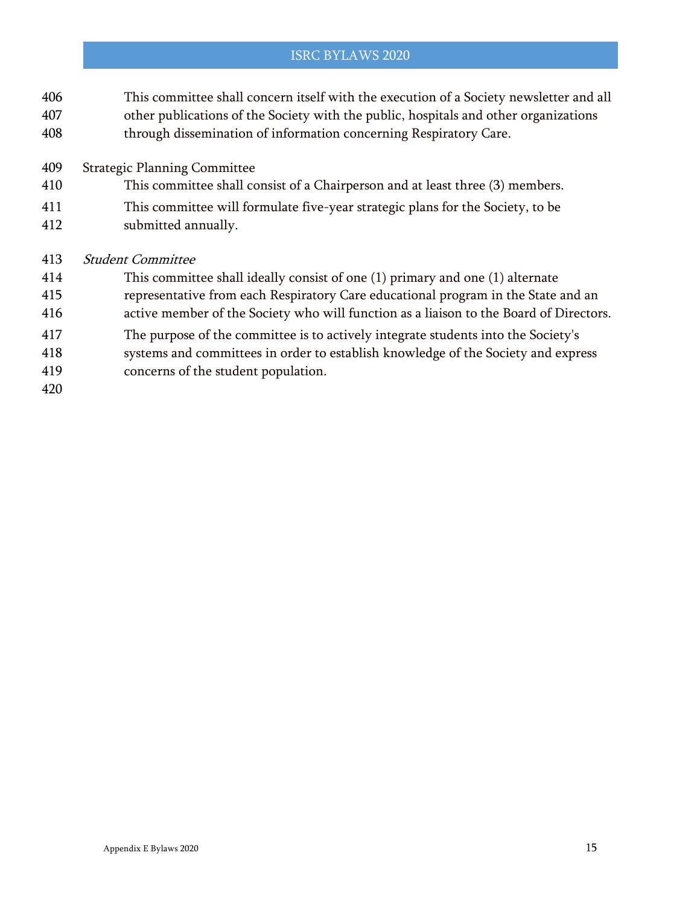- This committee shall concern itself with the execution of a Society newsletter and all other publications of the Society with the public, hospitals and other organizations
- through dissemination of information concerning Respiratory Care.
- Strategic Planning Committee
- This committee shall consist of a Chairperson and at least three (3) members.
- This committee will formulate five-year strategic plans for the Society, to be
- submitted annually.

#### Student Committee

- This committee shall ideally consist of one (1) primary and one (1) alternate
- representative from each Respiratory Care educational program in the State and an
- active member of the Society who will function as a liaison to the Board of Directors.
- The purpose of the committee is to actively integrate students into the Society's
- systems and committees in order to establish knowledge of the Society and express
- concerns of the student population.
-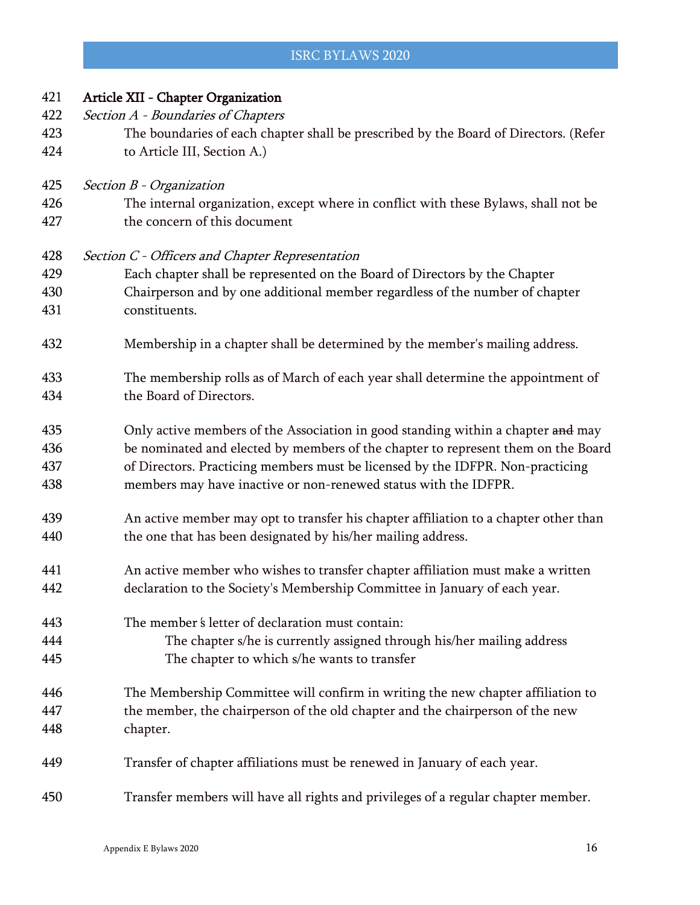| 421 | Article XII - Chapter Organization                                                   |
|-----|--------------------------------------------------------------------------------------|
| 422 | Section A - Boundaries of Chapters                                                   |
| 423 | The boundaries of each chapter shall be prescribed by the Board of Directors. (Refer |
| 424 | to Article III, Section A.)                                                          |
| 425 | Section B - Organization                                                             |
| 426 | The internal organization, except where in conflict with these Bylaws, shall not be  |
| 427 | the concern of this document                                                         |
| 428 | Section C - Officers and Chapter Representation                                      |
| 429 | Each chapter shall be represented on the Board of Directors by the Chapter           |
| 430 | Chairperson and by one additional member regardless of the number of chapter         |
| 431 | constituents.                                                                        |
| 432 | Membership in a chapter shall be determined by the member's mailing address.         |
| 433 | The membership rolls as of March of each year shall determine the appointment of     |
| 434 | the Board of Directors.                                                              |
| 435 | Only active members of the Association in good standing within a chapter and may     |
| 436 | be nominated and elected by members of the chapter to represent them on the Board    |
| 437 | of Directors. Practicing members must be licensed by the IDFPR. Non-practicing       |
| 438 | members may have inactive or non-renewed status with the IDFPR.                      |
| 439 | An active member may opt to transfer his chapter affiliation to a chapter other than |
| 440 | the one that has been designated by his/her mailing address.                         |
| 441 | An active member who wishes to transfer chapter affiliation must make a written      |
| 442 | declaration to the Society's Membership Committee in January of each year.           |
| 443 | The member's letter of declaration must contain:                                     |
| 444 | The chapter s/he is currently assigned through his/her mailing address               |
| 445 | The chapter to which s/he wants to transfer                                          |
| 446 | The Membership Committee will confirm in writing the new chapter affiliation to      |
| 447 | the member, the chairperson of the old chapter and the chairperson of the new        |
| 448 | chapter.                                                                             |
| 449 | Transfer of chapter affiliations must be renewed in January of each year.            |
| 450 | Transfer members will have all rights and privileges of a regular chapter member.    |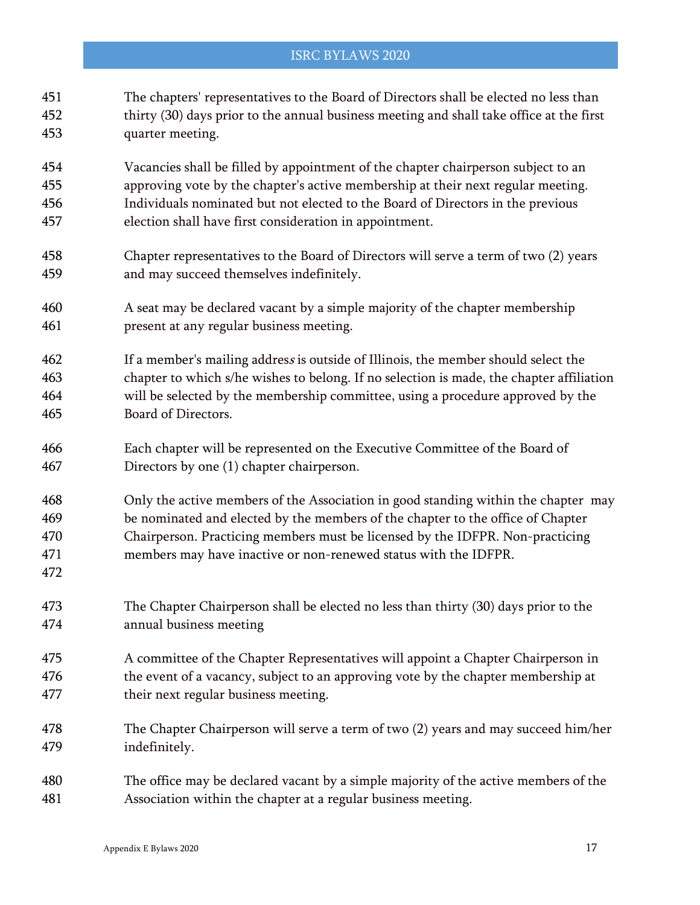# The chapters' representatives to the Board of Directors shall be elected no less than thirty (30) days prior to the annual business meeting and shall take office at the first quarter meeting. Vacancies shall be filled by appointment of the chapter chairperson subject to an approving vote by the chapter's active membership at their next regular meeting. Individuals nominated but not elected to the Board of Directors in the previous election shall have first consideration in appointment. Chapter representatives to the Board of Directors will serve a term of two (2) years and may succeed themselves indefinitely. A seat may be declared vacant by a simple majority of the chapter membership present at any regular business meeting. If a member's mailing addres<sup>s</sup> is outside of Illinois, the member should select the chapter to which s/he wishes to belong. If no selection is made, the chapter affiliation will be selected by the membership committee, using a procedure approved by the Board of Directors. Each chapter will be represented on the Executive Committee of the Board of Directors by one (1) chapter chairperson. Only the active members of the Association in good standing within the chapter may be nominated and elected by the members of the chapter to the office of Chapter Chairperson. Practicing members must be licensed by the IDFPR. Non-practicing members may have inactive or non-renewed status with the IDFPR. The Chapter Chairperson shall be elected no less than thirty (30) days prior to the annual business meeting A committee of the Chapter Representatives will appoint a Chapter Chairperson in the event of a vacancy, subject to an approving vote by the chapter membership at their next regular business meeting. The Chapter Chairperson will serve a term of two (2) years and may succeed him/her indefinitely. The office may be declared vacant by a simple majority of the active members of the Association within the chapter at a regular business meeting.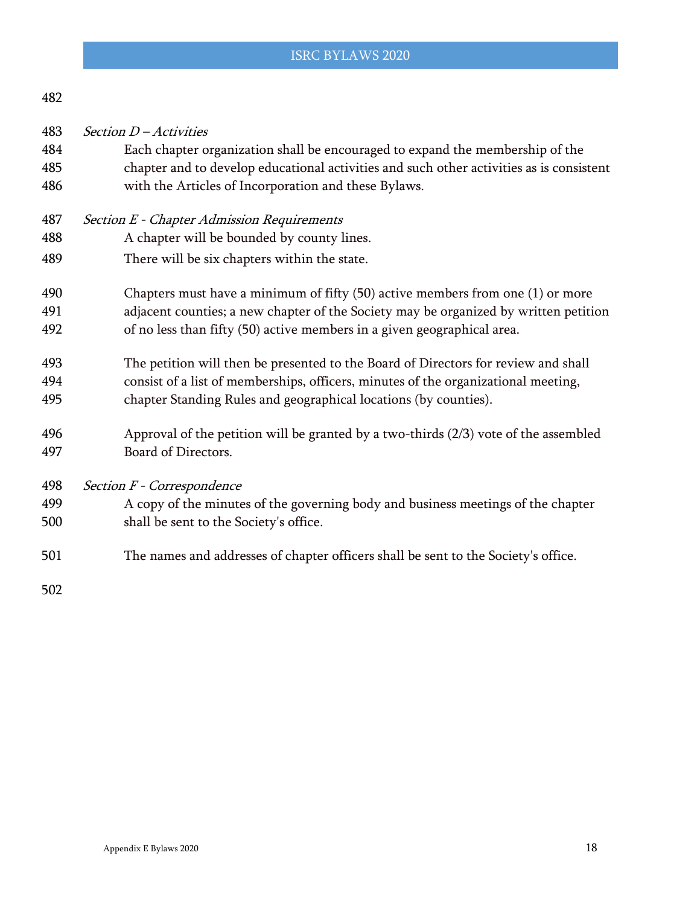| v |
|---|
|---|

Section D – Activities

- Each chapter organization shall be encouraged to expand the membership of the chapter and to develop educational activities and such other activities as is consistent with the Articles of Incorporation and these Bylaws.
- Section E Chapter Admission Requirements
- A chapter will be bounded by county lines.
- There will be six chapters within the state.
- Chapters must have a minimum of fifty (50) active members from one (1) or more adjacent counties; a new chapter of the Society may be organized by written petition of no less than fifty (50) active members in a given geographical area.
- The petition will then be presented to the Board of Directors for review and shall consist of a list of memberships, officers, minutes of the organizational meeting,
- chapter Standing Rules and geographical locations (by counties).
- Approval of the petition will be granted by a two-thirds (2/3) vote of the assembled Board of Directors.

Section F - Correspondence

# A copy of the minutes of the governing body and business meetings of the chapter shall be sent to the Society's office.

The names and addresses of chapter officers shall be sent to the Society's office.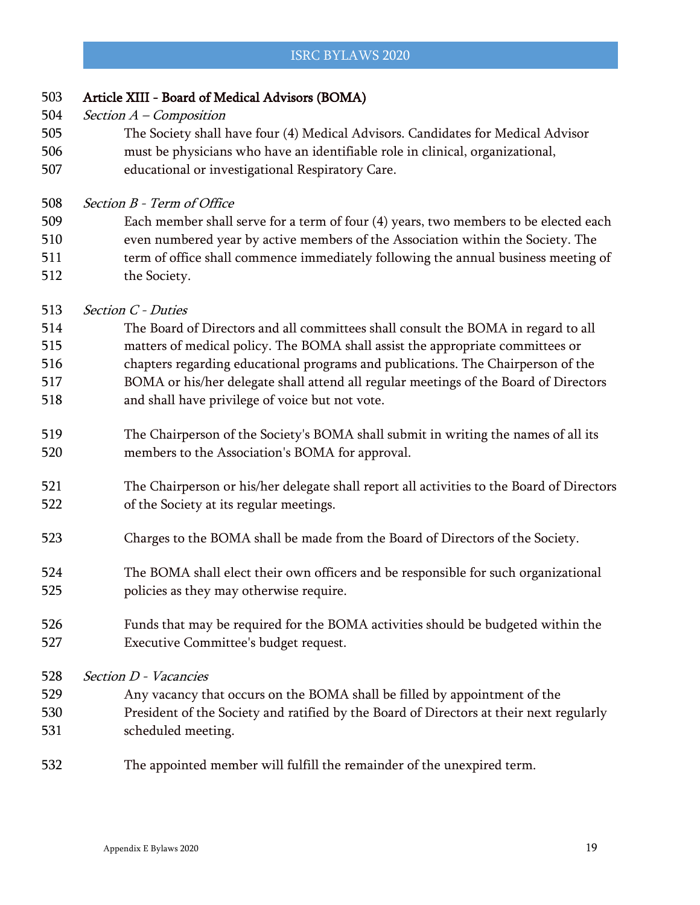| 503 | Article XIII - Board of Medical Advisors (BOMA)                                           |
|-----|-------------------------------------------------------------------------------------------|
| 504 | Section $A$ – Composition                                                                 |
| 505 | The Society shall have four (4) Medical Advisors. Candidates for Medical Advisor          |
| 506 | must be physicians who have an identifiable role in clinical, organizational,             |
| 507 | educational or investigational Respiratory Care.                                          |
| 508 | Section B - Term of Office                                                                |
| 509 | Each member shall serve for a term of four (4) years, two members to be elected each      |
| 510 | even numbered year by active members of the Association within the Society. The           |
| 511 | term of office shall commence immediately following the annual business meeting of        |
| 512 | the Society.                                                                              |
| 513 | <b>Section C - Duties</b>                                                                 |
| 514 | The Board of Directors and all committees shall consult the BOMA in regard to all         |
| 515 | matters of medical policy. The BOMA shall assist the appropriate committees or            |
| 516 | chapters regarding educational programs and publications. The Chairperson of the          |
| 517 | BOMA or his/her delegate shall attend all regular meetings of the Board of Directors      |
| 518 | and shall have privilege of voice but not vote.                                           |
| 519 | The Chairperson of the Society's BOMA shall submit in writing the names of all its        |
| 520 | members to the Association's BOMA for approval.                                           |
| 521 | The Chairperson or his/her delegate shall report all activities to the Board of Directors |
| 522 | of the Society at its regular meetings.                                                   |
| 523 | Charges to the BOMA shall be made from the Board of Directors of the Society.             |
| 524 | The BOMA shall elect their own officers and be responsible for such organizational        |
| 525 | policies as they may otherwise require.                                                   |
| 526 | Funds that may be required for the BOMA activities should be budgeted within the          |
| 527 | Executive Committee's budget request.                                                     |
| 528 | Section D - Vacancies                                                                     |
| 529 | Any vacancy that occurs on the BOMA shall be filled by appointment of the                 |
| 530 | President of the Society and ratified by the Board of Directors at their next regularly   |
| 531 | scheduled meeting.                                                                        |
| 532 | The appointed member will fulfill the remainder of the unexpired term.                    |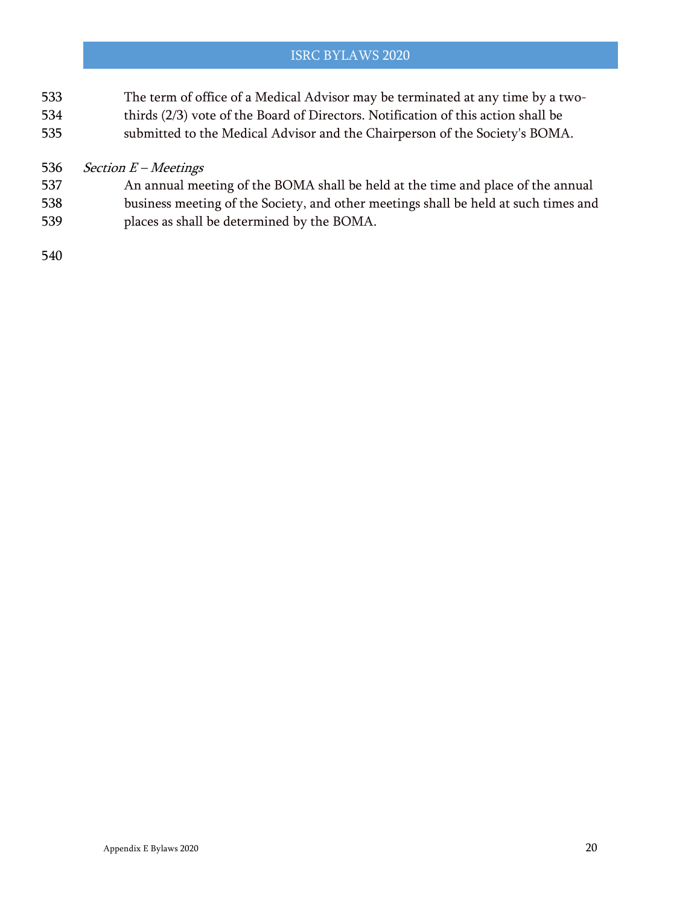- The term of office of a Medical Advisor may be terminated at any time by a two-thirds (2/3) vote of the Board of Directors. Notification of this action shall be
- submitted to the Medical Advisor and the Chairperson of the Society's BOMA.

# 536 Section  $E$  – Meetings

- An annual meeting of the BOMA shall be held at the time and place of the annual
- business meeting of the Society, and other meetings shall be held at such times and places as shall be determined by the BOMA.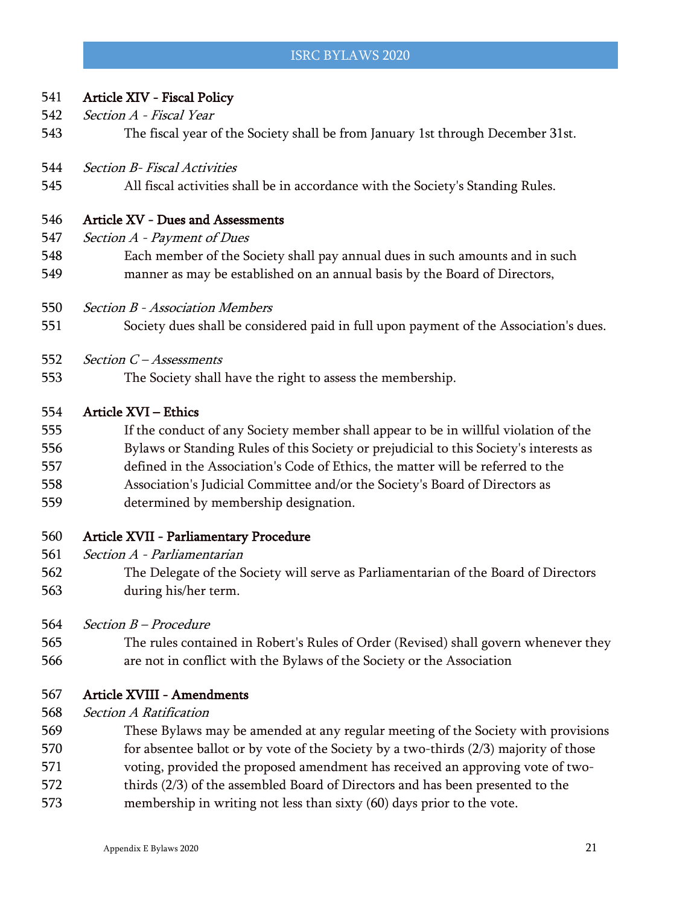#### Article XIV - Fiscal Policy

- 542 Section A Fiscal Year
- The fiscal year of the Society shall be from January 1st through December 31st.
- Section B- Fiscal Activities
- All fiscal activities shall be in accordance with the Society's Standing Rules.

#### Article XV - Dues and Assessments

- 547 Section A Payment of Dues
- Each member of the Society shall pay annual dues in such amounts and in such manner as may be established on an annual basis by the Board of Directors,
- Section B Association Members
- Society dues shall be considered paid in full upon payment of the Association's dues.
- 552 Section C Assessments
- The Society shall have the right to assess the membership.

#### Article XVI – Ethics

- If the conduct of any Society member shall appear to be in willful violation of the
- Bylaws or Standing Rules of this Society or prejudicial to this Society's interests as
- defined in the Association's Code of Ethics, the matter will be referred to the
- Association's Judicial Committee and/or the Society's Board of Directors as
- determined by membership designation.

#### Article XVII - Parliamentary Procedure

- Section A Parliamentarian
- The Delegate of the Society will serve as Parliamentarian of the Board of Directors during his/her term.
- 564 Section B Procedure
- The rules contained in Robert's Rules of Order (Revised) shall govern whenever they are not in conflict with the Bylaws of the Society or the Association
- Article XVIII Amendments
- Section A Ratification
- These Bylaws may be amended at any regular meeting of the Society with provisions
- 570 for absentee ballot or by vote of the Society by a two-thirds (2/3) majority of those
- voting, provided the proposed amendment has received an approving vote of two-
- thirds (2/3) of the assembled Board of Directors and has been presented to the
- membership in writing not less than sixty (60) days prior to the vote.